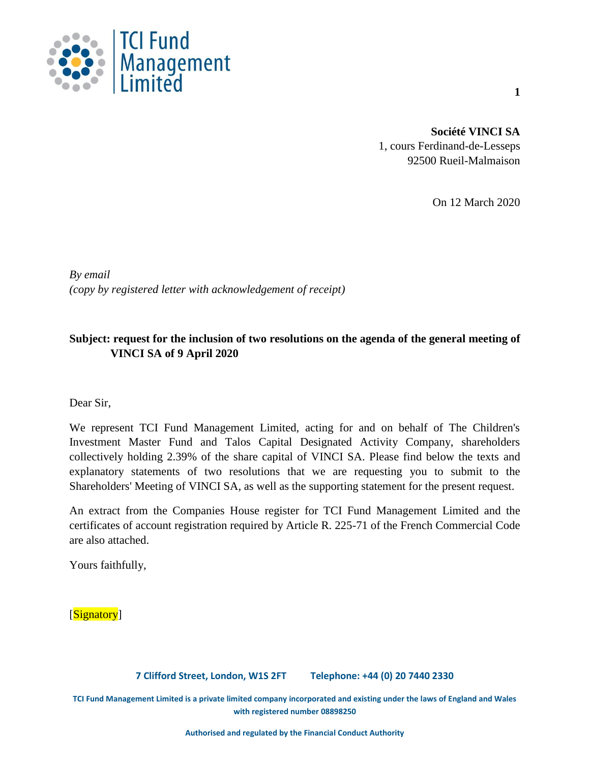

**Société VINCI SA** 1, cours Ferdinand-de-Lesseps 92500 Rueil-Malmaison

On 12 March 2020

*By email (copy by registered letter with acknowledgement of receipt)*

# **Subject: request for the inclusion of two resolutions on the agenda of the general meeting of VINCI SA of 9 April 2020**

Dear Sir,

We represent TCI Fund Management Limited, acting for and on behalf of The Children's Investment Master Fund and Talos Capital Designated Activity Company, shareholders collectively holding 2.39% of the share capital of VINCI SA. Please find below the texts and explanatory statements of two resolutions that we are requesting you to submit to the Shareholders' Meeting of VINCI SA, as well as the supporting statement for the present request.

An extract from the Companies House register for TCI Fund Management Limited and the certificates of account registration required by Article R. 225-71 of the French Commercial Code are also attached.

Yours faithfully,

[Signatory]

**7 Clifford Street, London, W1S 2FT Telephone: +44 (0) 20 7440 2330**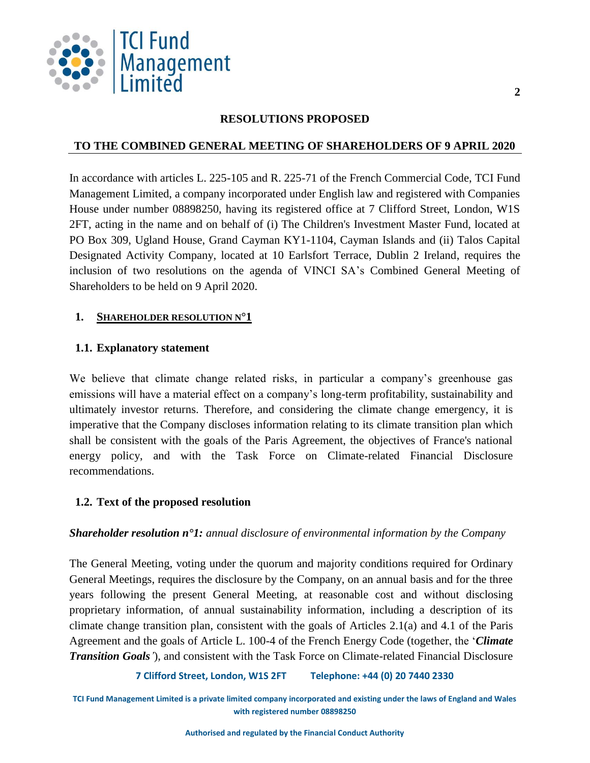

#### **RESOLUTIONS PROPOSED**

## **TO THE COMBINED GENERAL MEETING OF SHAREHOLDERS OF 9 APRIL 2020**

In accordance with articles L. 225-105 and R. 225-71 of the French Commercial Code, TCI Fund Management Limited, a company incorporated under English law and registered with Companies House under number 08898250, having its registered office at 7 Clifford Street, London, W1S 2FT, acting in the name and on behalf of (i) The Children's Investment Master Fund, located at PO Box 309, Ugland House, Grand Cayman KY1-1104, Cayman Islands and (ii) Talos Capital Designated Activity Company, located at 10 Earlsfort Terrace, Dublin 2 Ireland, requires the inclusion of two resolutions on the agenda of VINCI SA's Combined General Meeting of Shareholders to be held on 9 April 2020.

## **1. SHAREHOLDER RESOLUTION N°1**

## **1.1. Explanatory statement**

We believe that climate change related risks, in particular a company's greenhouse gas emissions will have a material effect on a company's long-term profitability, sustainability and ultimately investor returns. Therefore, and considering the climate change emergency, it is imperative that the Company discloses information relating to its climate transition plan which shall be consistent with the goals of the Paris Agreement, the objectives of France's national energy policy, and with the Task Force on Climate-related Financial Disclosure recommendations.

## **1.2. Text of the proposed resolution**

#### *Shareholder resolution n°1: annual disclosure of environmental information by the Company*

The General Meeting, voting under the quorum and majority conditions required for Ordinary General Meetings, requires the disclosure by the Company, on an annual basis and for the three years following the present General Meeting, at reasonable cost and without disclosing proprietary information, of annual sustainability information, including a description of its climate change transition plan, consistent with the goals of Articles 2.1(a) and 4.1 of the Paris Agreement and the goals of Article L. 100-4 of the French Energy Code (together, the '*Climate Transition Goals'*), and consistent with the Task Force on Climate-related Financial Disclosure

#### **7 Clifford Street, London, W1S 2FT Telephone: +44 (0) 20 7440 2330**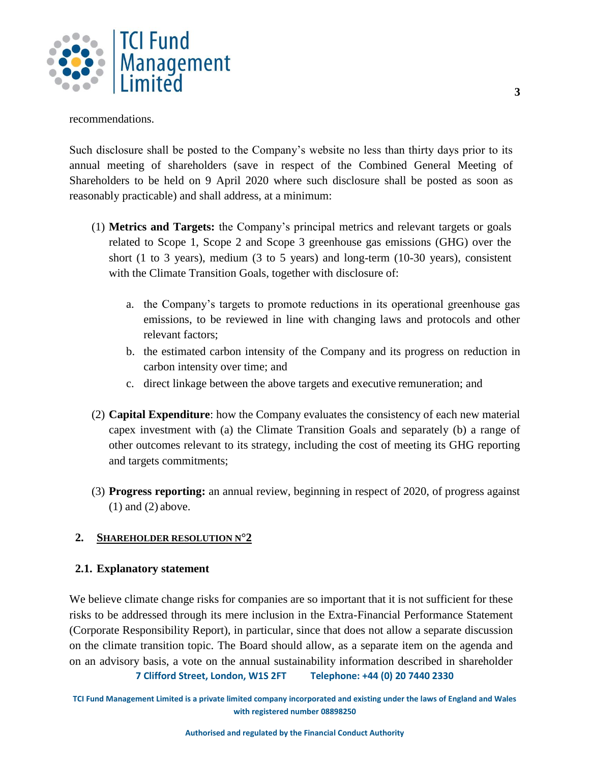

recommendations.

Such disclosure shall be posted to the Company's website no less than thirty days prior to its annual meeting of shareholders (save in respect of the Combined General Meeting of Shareholders to be held on 9 April 2020 where such disclosure shall be posted as soon as reasonably practicable) and shall address, at a minimum:

- (1) **Metrics and Targets:** the Company's principal metrics and relevant targets or goals related to Scope 1, Scope 2 and Scope 3 greenhouse gas emissions (GHG) over the short (1 to 3 years), medium (3 to 5 years) and long-term (10-30 years), consistent with the Climate Transition Goals, together with disclosure of:
	- a. the Company's targets to promote reductions in its operational greenhouse gas emissions, to be reviewed in line with changing laws and protocols and other relevant factors;
	- b. the estimated carbon intensity of the Company and its progress on reduction in carbon intensity over time; and
	- c. direct linkage between the above targets and executive remuneration; and
- (2) **Capital Expenditure**: how the Company evaluates the consistency of each new material capex investment with (a) the Climate Transition Goals and separately (b) a range of other outcomes relevant to its strategy, including the cost of meeting its GHG reporting and targets commitments;
- (3) **Progress reporting:** an annual review, beginning in respect of 2020, of progress against  $(1)$  and  $(2)$  above.

## **2. SHAREHOLDER RESOLUTION N°2**

## **2.1. Explanatory statement**

We believe climate change risks for companies are so important that it is not sufficient for these risks to be addressed through its mere inclusion in the Extra-Financial Performance Statement (Corporate Responsibility Report), in particular, since that does not allow a separate discussion on the climate transition topic. The Board should allow, as a separate item on the agenda and on an advisory basis, a vote on the annual sustainability information described in shareholder

**7 Clifford Street, London, W1S 2FT Telephone: +44 (0) 20 7440 2330**

**TCI Fund Management Limited is a private limited company incorporated and existing under the laws of England and Wales with registered number 08898250**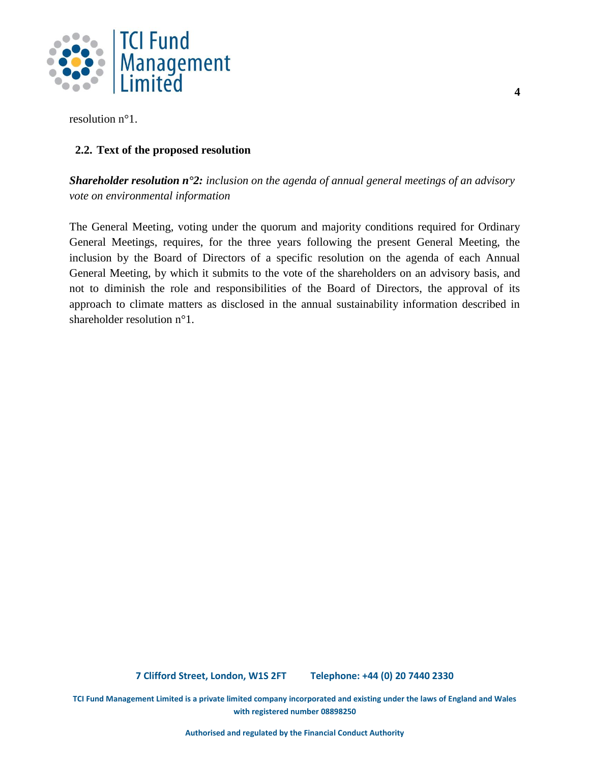

resolution n°1.

## **2.2. Text of the proposed resolution**

*Shareholder resolution n°2: inclusion on the agenda of annual general meetings of an advisory vote on environmental information*

The General Meeting, voting under the quorum and majority conditions required for Ordinary General Meetings, requires, for the three years following the present General Meeting, the inclusion by the Board of Directors of a specific resolution on the agenda of each Annual General Meeting, by which it submits to the vote of the shareholders on an advisory basis, and not to diminish the role and responsibilities of the Board of Directors, the approval of its approach to climate matters as disclosed in the annual sustainability information described in shareholder resolution n°1.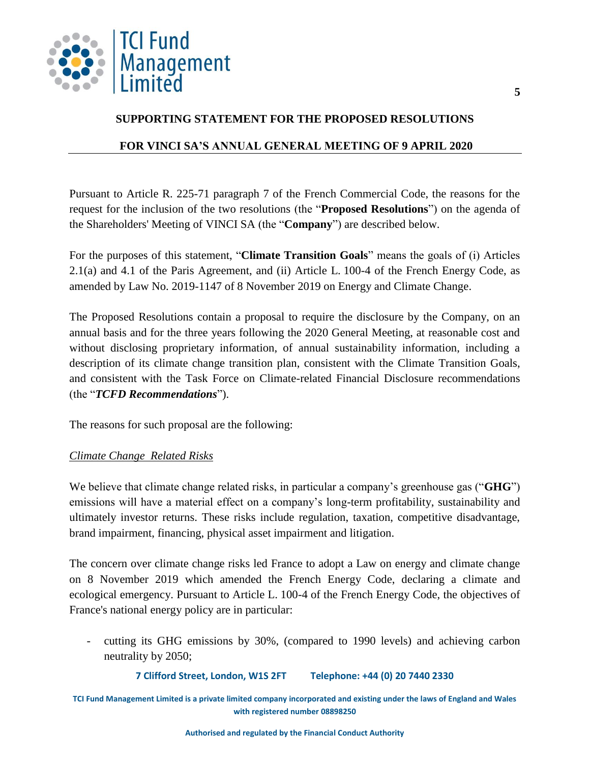

## **SUPPORTING STATEMENT FOR THE PROPOSED RESOLUTIONS**

## **FOR VINCI SA'S ANNUAL GENERAL MEETING OF 9 APRIL 2020**

Pursuant to Article R. 225-71 paragraph 7 of the French Commercial Code, the reasons for the request for the inclusion of the two resolutions (the "**Proposed Resolutions**") on the agenda of the Shareholders' Meeting of VINCI SA (the "**Company**") are described below.

For the purposes of this statement, "**Climate Transition Goals**" means the goals of (i) Articles 2.1(a) and 4.1 of the Paris Agreement, and (ii) Article L. 100-4 of the French Energy Code, as amended by Law No. 2019-1147 of 8 November 2019 on Energy and Climate Change.

The Proposed Resolutions contain a proposal to require the disclosure by the Company, on an annual basis and for the three years following the 2020 General Meeting, at reasonable cost and without disclosing proprietary information, of annual sustainability information, including a description of its climate change transition plan, consistent with the Climate Transition Goals, and consistent with the Task Force on Climate-related Financial Disclosure recommendations (the "*TCFD Recommendations*").

The reasons for such proposal are the following:

## *Climate Change Related Risks*

We believe that climate change related risks, in particular a company's greenhouse gas ("**GHG**") emissions will have a material effect on a company's long-term profitability, sustainability and ultimately investor returns. These risks include regulation, taxation, competitive disadvantage, brand impairment, financing, physical asset impairment and litigation.

The concern over climate change risks led France to adopt a Law on energy and climate change on 8 November 2019 which amended the French Energy Code, declaring a climate and ecological emergency. Pursuant to Article L. 100-4 of the French Energy Code, the objectives of France's national energy policy are in particular:

- cutting its GHG emissions by 30%, (compared to 1990 levels) and achieving carbon neutrality by 2050;

**7 Clifford Street, London, W1S 2FT Telephone: +44 (0) 20 7440 2330**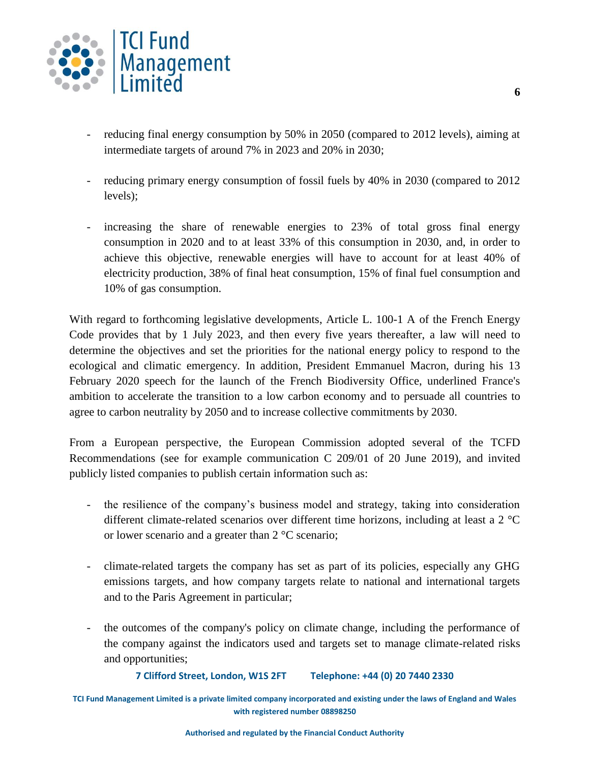

- reducing final energy consumption by 50% in 2050 (compared to 2012 levels), aiming at intermediate targets of around 7% in 2023 and 20% in 2030;
- reducing primary energy consumption of fossil fuels by 40% in 2030 (compared to 2012 levels);
- increasing the share of renewable energies to 23% of total gross final energy consumption in 2020 and to at least 33% of this consumption in 2030, and, in order to achieve this objective, renewable energies will have to account for at least 40% of electricity production, 38% of final heat consumption, 15% of final fuel consumption and 10% of gas consumption.

With regard to forthcoming legislative developments, Article L. 100-1 A of the French Energy Code provides that by 1 July 2023, and then every five years thereafter, a law will need to determine the objectives and set the priorities for the national energy policy to respond to the ecological and climatic emergency. In addition, President Emmanuel Macron, during his 13 February 2020 speech for the launch of the French Biodiversity Office, underlined France's ambition to accelerate the transition to a low carbon economy and to persuade all countries to agree to carbon neutrality by 2050 and to increase collective commitments by 2030.

From a European perspective, the European Commission adopted several of the TCFD Recommendations (see for example communication C 209/01 of 20 June 2019), and invited publicly listed companies to publish certain information such as:

- the resilience of the company's business model and strategy, taking into consideration different climate-related scenarios over different time horizons, including at least a 2 °C or lower scenario and a greater than 2 °C scenario;
- climate-related targets the company has set as part of its policies, especially any GHG emissions targets, and how company targets relate to national and international targets and to the Paris Agreement in particular;
- the outcomes of the company's policy on climate change, including the performance of the company against the indicators used and targets set to manage climate-related risks and opportunities;

**7 Clifford Street, London, W1S 2FT Telephone: +44 (0) 20 7440 2330**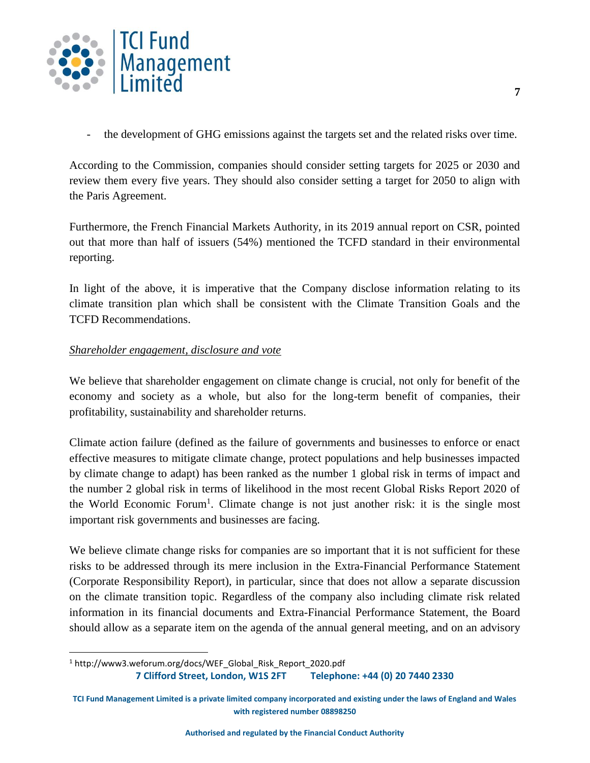

- the development of GHG emissions against the targets set and the related risks over time.

According to the Commission, companies should consider setting targets for 2025 or 2030 and review them every five years. They should also consider setting a target for 2050 to align with the Paris Agreement.

Furthermore, the French Financial Markets Authority, in its 2019 annual report on CSR, pointed out that more than half of issuers (54%) mentioned the TCFD standard in their environmental reporting.

In light of the above, it is imperative that the Company disclose information relating to its climate transition plan which shall be consistent with the Climate Transition Goals and the TCFD Recommendations.

#### *Shareholder engagement, disclosure and vote*

 $\overline{a}$ 

We believe that shareholder engagement on climate change is crucial, not only for benefit of the economy and society as a whole, but also for the long-term benefit of companies, their profitability, sustainability and shareholder returns.

Climate action failure (defined as the failure of governments and businesses to enforce or enact effective measures to mitigate climate change, protect populations and help businesses impacted by climate change to adapt) has been ranked as the number 1 global risk in terms of impact and the number 2 global risk in terms of likelihood in the most recent Global Risks Report 2020 of the World Economic Forum<sup>1</sup>. Climate change is not just another risk: it is the single most important risk governments and businesses are facing.

We believe climate change risks for companies are so important that it is not sufficient for these risks to be addressed through its mere inclusion in the Extra-Financial Performance Statement (Corporate Responsibility Report), in particular, since that does not allow a separate discussion on the climate transition topic. Regardless of the company also including climate risk related information in its financial documents and Extra-Financial Performance Statement, the Board should allow as a separate item on the agenda of the annual general meeting, and on an advisory

**<sup>7</sup> Clifford Street, London, W1S 2FT Telephone: +44 (0) 20 7440 2330** <sup>1</sup> http://www3.weforum.org/docs/WEF\_Global\_Risk\_Report\_2020.pdf

**TCI Fund Management Limited is a private limited company incorporated and existing under the laws of England and Wales with registered number 08898250**